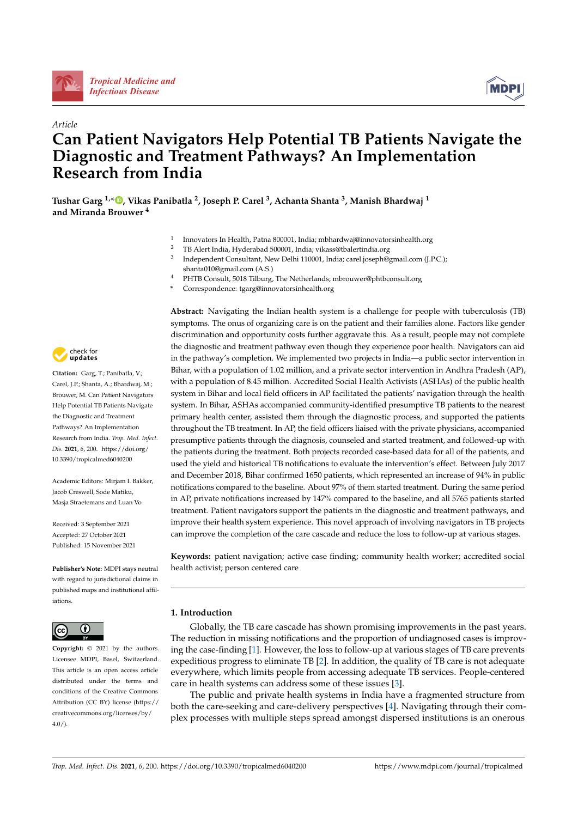

*[Tropical Medicine and](https://www.mdpi.com/journal/tropicalmed)  Infectious Disease*



**MDPI** 

# **Can Patient Navigators Help Potential TB Patients Navigate the Diagnostic and Treatment Pathways? An Implementation Research from India**

**Tushar Garg 1,[\\*](https://orcid.org/0000-0002-6781-8574) , Vikas Panibatla 2, Joseph P. Carel 3, Achanta Shanta 3, Manish Bhardwaj <sup>1</sup> and Miranda Brouwer <sup>4</sup>**

- <sup>1</sup> Innovators In Health, Patna 800001, India; mbhardwaj@innovatorsinhealth.org
- <sup>2</sup> TB Alert India, Hyderabad 500001, India; vikass@tbalertindia.org
- <sup>3</sup> Independent Consultant, New Delhi 110001, India; carel.joseph@gmail.com (J.P.C.); shanta010@gmail.com (A.S.)
- <sup>4</sup> PHTB Consult, 5018 Tilburg, The Netherlands; mbrouwer@phtbconsult.org
- **\*** Correspondence: tgarg@innovatorsinhealth.org



**Citation:** Garg, T.; Panibatla, V.; Carel, J.P.; Shanta, A.; Bhardwaj, M.; Brouwer, M. Can Patient Navigators Help Potential TB Patients Navigate the Diagnostic and Treatment Pathways? An Implementation Research from India. *Trop. Med. Infect. Dis.* **2021**, *6*, 200. [https://doi.org/](https://doi.org/10.3390/tropicalmed6040200) [10.3390/tropicalmed6040200](https://doi.org/10.3390/tropicalmed6040200)

Academic Editors: Mirjam I. Bakker, Jacob Creswell, Sode Matiku, Masja Straetemans and Luan Vo

Received: 3 September 2021 Accepted: 27 October 2021 Published: 15 November 2021

**Publisher's Note:** MDPI stays neutral with regard to jurisdictional claims in published maps and institutional affiliations.



**Copyright:** © 2021 by the authors. Licensee MDPI, Basel, Switzerland. This article is an open access article distributed under the terms and conditions of the Creative Commons Attribution (CC BY) license (https:/[/](https://creativecommons.org/licenses/by/4.0/) [creativecommons.org/licenses/by/](https://creativecommons.org/licenses/by/4.0/)  $4.0/$ 

**Abstract:** Navigating the Indian health system is a challenge for people with tuberculosis (TB) symptoms. The onus of organizing care is on the patient and their families alone. Factors like gender discrimination and opportunity costs further aggravate this. As a result, people may not complete the diagnostic and treatment pathway even though they experience poor health. Navigators can aid in the pathway's completion. We implemented two projects in India—a public sector intervention in Bihar, with a population of 1.02 million, and a private sector intervention in Andhra Pradesh (AP), with a population of 8.45 million. Accredited Social Health Activists (ASHAs) of the public health system in Bihar and local field officers in AP facilitated the patients' navigation through the health system. In Bihar, ASHAs accompanied community-identified presumptive TB patients to the nearest primary health center, assisted them through the diagnostic process, and supported the patients throughout the TB treatment. In AP, the field officers liaised with the private physicians, accompanied presumptive patients through the diagnosis, counseled and started treatment, and followed-up with the patients during the treatment. Both projects recorded case-based data for all of the patients, and used the yield and historical TB notifications to evaluate the intervention's effect. Between July 2017 and December 2018, Bihar confirmed 1650 patients, which represented an increase of 94% in public notifications compared to the baseline. About 97% of them started treatment. During the same period in AP, private notifications increased by 147% compared to the baseline, and all 5765 patients started treatment. Patient navigators support the patients in the diagnostic and treatment pathways, and improve their health system experience. This novel approach of involving navigators in TB projects can improve the completion of the care cascade and reduce the loss to follow-up at various stages.

**Keywords:** patient navigation; active case finding; community health worker; accredited social health activist; person centered care

# **1. Introduction**

Globally, the TB care cascade has shown promising improvements in the past years. The reduction in missing notifications and the proportion of undiagnosed cases is improving the case-finding [1]. However, the loss to follow-up at various stages of TB care prevents expeditious progress to eliminate TB [2]. In addition, the quality of TB care is not adequate everywhere, which limits people from accessing adequate TB services. People-centered care in health systems can address some of these issues [3].

The public and private health systems in India have a fragmented structure from both the care-seeking and care-delivery perspectives [4]. Navigating through their complex processes with multiple steps spread amongst dispersed institutions is an onerous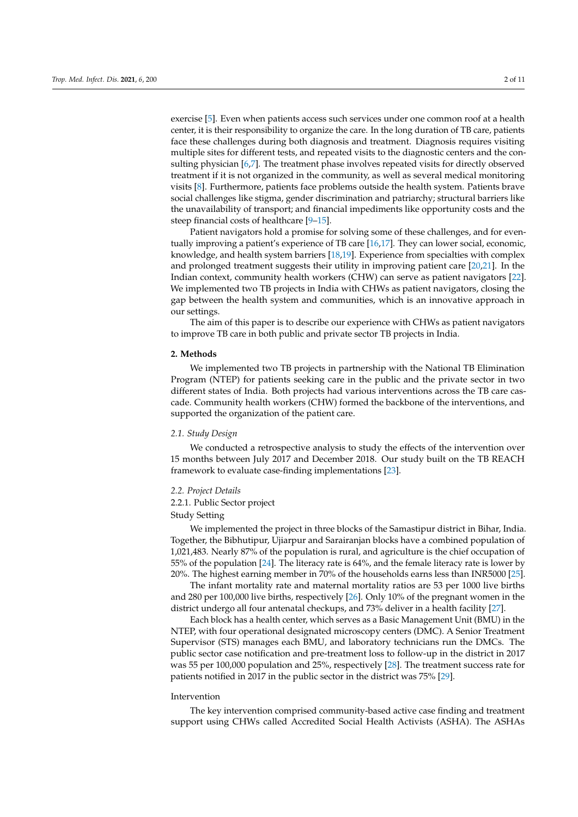exercise [5]. Even when patients access such services under one common roof at a health center, it is their responsibility to organize the care. In the long duration of TB care, patients face these challenges during both diagnosis and treatment. Diagnosis requires visiting multiple sites for different tests, and repeated visits to the diagnostic centers and the consulting physician [6,7]. The treatment phase involves repeated visits for directly observed treatment if it is not organized in the community, as well as several medical monitoring visits [8]. Furthermore, patients face problems outside the health system. Patients brave social challenges like stigma, gender discrimination and patriarchy; structural barriers like the unavailability of transport; and financial impediments like opportunity costs and the steep financial costs of healthcare [9–15].

Patient navigators hold a promise for solving some of these challenges, and for eventually improving a patient's experience of TB care [16,17]. They can lower social, economic, knowledge, and health system barriers [18,19]. Experience from specialties with complex and prolonged treatment suggests their utility in improving patient care [20,21]. In the Indian context, community health workers (CHW) can serve as patient navigators [22]. We implemented two TB projects in India with CHWs as patient navigators, closing the gap between the health system and communities, which is an innovative approach in our settings.

The aim of this paper is to describe our experience with CHWs as patient navigators to improve TB care in both public and private sector TB projects in India.

# **2. Methods**

We implemented two TB projects in partnership with the National TB Elimination Program (NTEP) for patients seeking care in the public and the private sector in two different states of India. Both projects had various interventions across the TB care cascade. Community health workers (CHW) formed the backbone of the interventions, and supported the organization of the patient care.

#### *2.1. Study Design*

We conducted a retrospective analysis to study the effects of the intervention over 15 months between July 2017 and December 2018. Our study built on the TB REACH framework to evaluate case-finding implementations [23].

#### *2.2. Project Details*

#### 2.2.1. Public Sector project

# Study Setting

We implemented the project in three blocks of the Samastipur district in Bihar, India. Together, the Bibhutipur, Ujiarpur and Sarairanjan blocks have a combined population of 1,021,483. Nearly 87% of the population is rural, and agriculture is the chief occupation of 55% of the population [24]. The literacy rate is 64%, and the female literacy rate is lower by 20%. The highest earning member in 70% of the households earns less than INR5000 [25].

The infant mortality rate and maternal mortality ratios are 53 per 1000 live births and 280 per 100,000 live births, respectively [26]. Only 10% of the pregnant women in the district undergo all four antenatal checkups, and 73% deliver in a health facility [27].

Each block has a health center, which serves as a Basic Management Unit (BMU) in the NTEP, with four operational designated microscopy centers (DMC). A Senior Treatment Supervisor (STS) manages each BMU, and laboratory technicians run the DMCs. The public sector case notification and pre-treatment loss to follow-up in the district in 2017 was 55 per 100,000 population and 25%, respectively [28]. The treatment success rate for patients notified in 2017 in the public sector in the district was 75% [29].

#### Intervention

The key intervention comprised community-based active case finding and treatment support using CHWs called Accredited Social Health Activists (ASHA). The ASHAs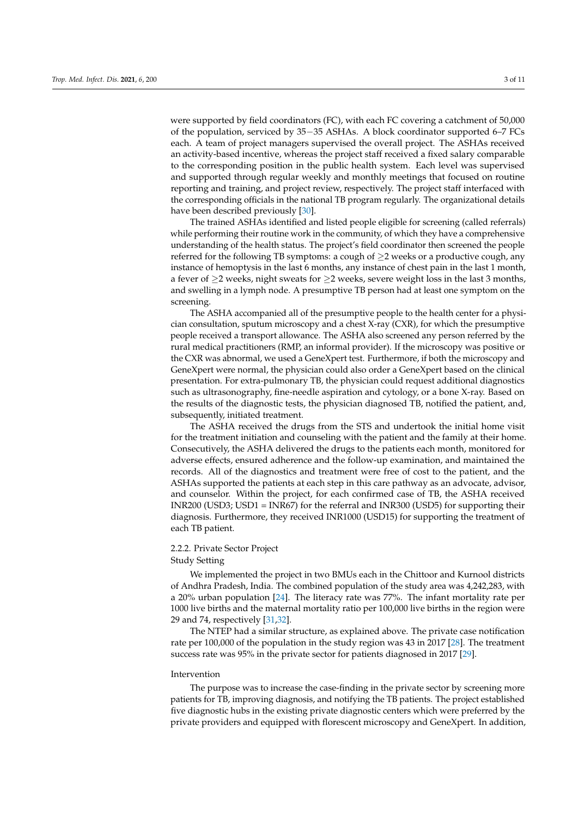were supported by field coordinators (FC), with each FC covering a catchment of 50,000 of the population, serviced by 35-35 ASHAs. A block coordinator supported 6-7 FCs each. A team of project managers supervised the overall project. The ASHAs received an activity-based incentive, whereas the project staff received a fixed salary comparable to the corresponding position in the public health system. Each level was supervised and supported through regular weekly and monthly meetings that focused on routine reporting and training, and project review, respectively. The project staff interfaced with the corresponding officials in the national TB program regularly. The organizational details have been described previously [30].

The trained ASHAs identified and listed people eligible for screening (called referrals) while performing their routine work in the community, of which they have a comprehensive understanding of the health status. The project's field coordinator then screened the people referred for the following TB symptoms: a cough of  $\geq$  weeks or a productive cough, any instance of hemoptysis in the last 6 months, any instance of chest pain in the last 1 month, a fever of  $\geq$  weeks, night sweats for  $\geq$  weeks, severe weight loss in the last 3 months, and swelling in a lymph node. A presumptive TB person had at least one symptom on the screening.

The ASHA accompanied all of the presumptive people to the health center for a physician consultation, sputum microscopy and a chest X-ray (CXR), for which the presumptive people received a transport allowance. The ASHA also screened any person referred by the rural medical practitioners (RMP, an informal provider). If the microscopy was positive or the CXR was abnormal, we used a GeneXpert test. Furthermore, if both the microscopy and GeneXpert were normal, the physician could also order a GeneXpert based on the clinical presentation. For extra-pulmonary TB, the physician could request additional diagnostics such as ultrasonography, fine-needle aspiration and cytology, or a bone X-ray. Based on the results of the diagnostic tests, the physician diagnosed TB, notified the patient, and, subsequently, initiated treatment.

The ASHA received the drugs from the STS and undertook the initial home visit for the treatment initiation and counseling with the patient and the family at their home. Consecutively, the ASHA delivered the drugs to the patients each month, monitored for adverse effects, ensured adherence and the follow-up examination, and maintained the records. All of the diagnostics and treatment were free of cost to the patient, and the ASHAs supported the patients at each step in this care pathway as an advocate, advisor, and counselor. Within the project, for each confirmed case of TB, the ASHA received INR200 (USD3; USD1 = INR67) for the referral and INR300 (USD5) for supporting their diagnosis. Furthermore, they received INR1000 (USD15) for supporting the treatment of each TB patient.

# 2.2.2. Private Sector Project

#### Study Setting

We implemented the project in two BMUs each in the Chittoor and Kurnool districts of Andhra Pradesh, India. The combined population of the study area was 4,242,283, with a 20% urban population [24]. The literacy rate was 77%. The infant mortality rate per 1000 live births and the maternal mortality ratio per 100,000 live births in the region were 29 and 74, respectively [31,32].

The NTEP had a similar structure, as explained above. The private case notification rate per 100,000 of the population in the study region was 43 in 2017 [28]. The treatment success rate was 95% in the private sector for patients diagnosed in 2017 [29].

#### Intervention

The purpose was to increase the case-finding in the private sector by screening more patients for TB, improving diagnosis, and notifying the TB patients. The project established five diagnostic hubs in the existing private diagnostic centers which were preferred by the private providers and equipped with florescent microscopy and GeneXpert. In addition,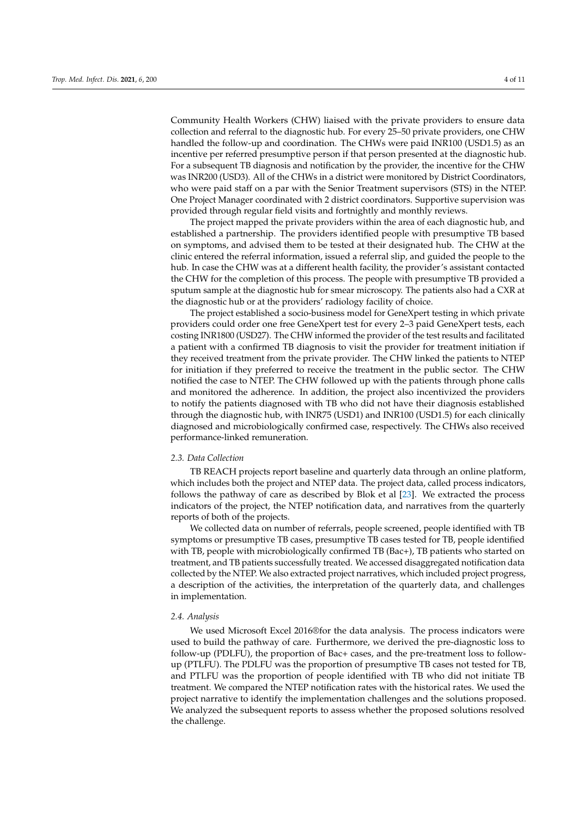Community Health Workers (CHW) liaised with the private providers to ensure data collection and referral to the diagnostic hub. For every 25–50 private providers, one CHW handled the follow-up and coordination. The CHWs were paid INR100 (USD1.5) as an incentive per referred presumptive person if that person presented at the diagnostic hub. For a subsequent TB diagnosis and notification by the provider, the incentive for the CHW was INR200 (USD3). All of the CHWs in a district were monitored by District Coordinators, who were paid staff on a par with the Senior Treatment supervisors (STS) in the NTEP. One Project Manager coordinated with 2 district coordinators. Supportive supervision was provided through regular field visits and fortnightly and monthly reviews.

The project mapped the private providers within the area of each diagnostic hub, and established a partnership. The providers identified people with presumptive TB based on symptoms, and advised them to be tested at their designated hub. The CHW at the clinic entered the referral information, issued a referral slip, and guided the people to the hub. In case the CHW was at a different health facility, the provider's assistant contacted the CHW for the completion of this process. The people with presumptive TB provided a sputum sample at the diagnostic hub for smear microscopy. The patients also had a CXR at the diagnostic hub or at the providers' radiology facility of choice.

The project established a socio-business model for GeneXpert testing in which private providers could order one free GeneXpert test for every 2–3 paid GeneXpert tests, each costing INR1800 (USD27). The CHW informed the provider of the test results and facilitated a patient with a confirmed TB diagnosis to visit the provider for treatment initiation if they received treatment from the private provider. The CHW linked the patients to NTEP for initiation if they preferred to receive the treatment in the public sector. The CHW notified the case to NTEP. The CHW followed up with the patients through phone calls and monitored the adherence. In addition, the project also incentivized the providers to notify the patients diagnosed with TB who did not have their diagnosis established through the diagnostic hub, with INR75 (USD1) and INR100 (USD1.5) for each clinically diagnosed and microbiologically confirmed case, respectively. The CHWs also received performance-linked remuneration.

## *2.3. Data Collection*

TB REACH projects report baseline and quarterly data through an online platform, which includes both the project and NTEP data. The project data, called process indicators, follows the pathway of care as described by Blok et al [23]. We extracted the process indicators of the project, the NTEP notification data, and narratives from the quarterly reports of both of the projects.

We collected data on number of referrals, people screened, people identified with TB symptoms or presumptive TB cases, presumptive TB cases tested for TB, people identified with TB, people with microbiologically confirmed TB (Bac+), TB patients who started on treatment, and TB patients successfully treated. We accessed disaggregated notification data collected by the NTEP. We also extracted project narratives, which included project progress, a description of the activities, the interpretation of the quarterly data, and challenges in implementation.

#### *2.4. Analysis*

We used Microsoft Excel 2016®for the data analysis. The process indicators were used to build the pathway of care. Furthermore, we derived the pre-diagnostic loss to follow-up (PDLFU), the proportion of Bac+ cases, and the pre-treatment loss to followup (PTLFU). The PDLFU was the proportion of presumptive TB cases not tested for TB, and PTLFU was the proportion of people identified with TB who did not initiate TB treatment. We compared the NTEP notification rates with the historical rates. We used the project narrative to identify the implementation challenges and the solutions proposed. We analyzed the subsequent reports to assess whether the proposed solutions resolved the challenge.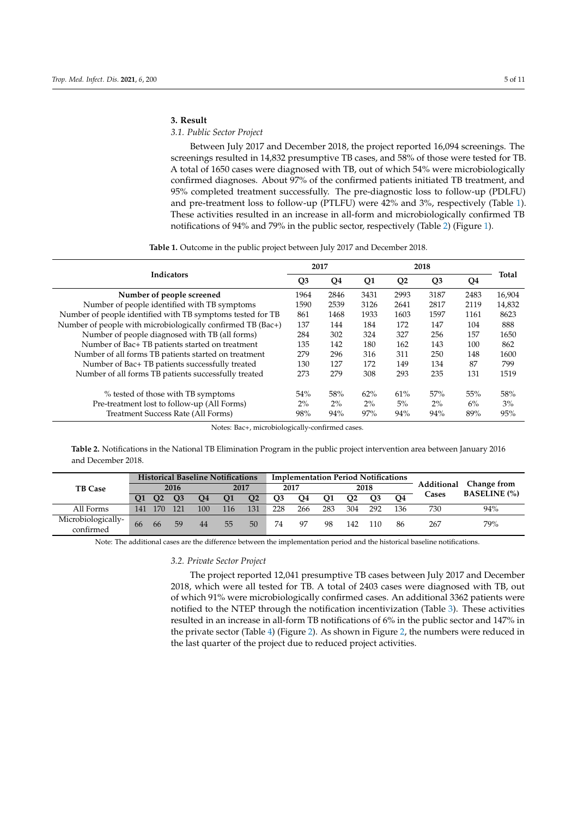#### **3. Result**

# *3.1. Public Sector Project*

Between July 2017 and December 2018, the project reported 16,094 screenings. The screenings resulted in 14,832 presumptive TB cases, and 58% of those were tested for TB. A total of 1650 cases were diagnosed with TB, out of which 54% were microbiologically confirmed diagnoses. About 97% of the confirmed patients initiated TB treatment, and 95% completed treatment successfully. The pre-diagnostic loss to follow-up (PDLFU) and pre-treatment loss to follow-up (PTLFU) were 42% and 3%, respectively (Table 1). These activities resulted in an increase in all-form and microbiologically confirmed TB notifications of 94% and 79% in the public sector, respectively (Table 2) (Figure 1).

**Table 1.** Outcome in the public project between July 2017 and December 2018.

|                                                             |                | 2017  |                |                |                |      |        |
|-------------------------------------------------------------|----------------|-------|----------------|----------------|----------------|------|--------|
| <b>Indicators</b>                                           | Q <sub>3</sub> | Q4    | Q <sub>1</sub> | Q <sub>2</sub> | Q <sub>3</sub> | Q4   | Total  |
| Number of people screened                                   | 1964           | 2846  | 3431           | 2993           | 3187           | 2483 | 16,904 |
| Number of people identified with TB symptoms                | 1590           | 2539  | 3126           | 2641           | 2817           | 2119 | 14,832 |
| Number of people identified with TB symptoms tested for TB  | 861            | 1468  | 1933           | 1603           | 1597           | 1161 | 8623   |
| Number of people with microbiologically confirmed TB (Bac+) | 137            | 144   | 184            | 172            | 147            | 104  | 888    |
| Number of people diagnosed with TB (all forms)              | 284            | 302   | 324            | 327            | 256            | 157  | 1650   |
| Number of Bac+ TB patients started on treatment             | 135            | 142   | 180            | 162            | 143            | 100  | 862    |
| Number of all forms TB patients started on treatment        | 279            | 296   | 316            | 311            | 250            | 148  | 1600   |
| Number of Bac+ TB patients successfully treated             | 130            | 127   | 172            | 149            | 134            | 87   | 799    |
| Number of all forms TB patients successfully treated        | 273            | 279   | 308            | 293            | 235            | 131  | 1519   |
| % tested of those with TB symptoms                          | 54%            | 58%   | 62%            | 61%            | 57%            | 55%  | 58%    |
| Pre-treatment lost to follow-up (All Forms)                 | 2%             | $2\%$ | $2\%$          | 5%             | 2%             | 6%   | 3%     |
| Treatment Success Rate (All Forms)                          | 98%            | 94%   | 97%            | 94%            | 94%            | 89%  | 95%    |

Notes: Bac+, microbiologically-confirmed cases.

**Table 2.** Notifications in the National TB Elimination Program in the public project intervention area between January 2016 and December 2018.

|                                 | <b>Historical Baseline Notifications</b> |      |                |     |           |                |      | <b>Implementation Period Notifications</b> |           |                |                |     |            |                     |
|---------------------------------|------------------------------------------|------|----------------|-----|-----------|----------------|------|--------------------------------------------|-----------|----------------|----------------|-----|------------|---------------------|
| <b>TB Case</b>                  | 2016                                     |      |                |     | 2017      |                | 2017 |                                            |           |                | 2018           |     | Additional | Change from         |
|                                 | <b>O1</b>                                | O2   | O <sub>3</sub> | O4  | <b>O1</b> | Q <sub>2</sub> | Q3   | Q4                                         | <b>O1</b> | O <sub>2</sub> | O <sub>3</sub> | O4  | Cases      | <b>BASELINE</b> (%) |
| All Forms                       | 141                                      | 170. | 121            | 100 | 116       | 131            | 228  | 266                                        | 283       | 304            | 292            | 136 | 730        | 94%                 |
| Microbiologically-<br>confirmed | 66                                       | 66   | 59             | 44  | 55        | 50             | 74   | 97                                         | 98        | 142            | 110            | 86  | 267        | 79%                 |

Note: The additional cases are the difference between the implementation period and the historical baseline notifications.

#### *3.2. Private Sector Project*

The project reported 12,041 presumptive TB cases between July 2017 and December 2018, which were all tested for TB. A total of 2403 cases were diagnosed with TB, out of which 91% were microbiologically confirmed cases. An additional 3362 patients were notified to the NTEP through the notification incentivization (Table 3). These activities resulted in an increase in all-form TB notifications of 6% in the public sector and 147% in the private sector (Table 4) (Figure 2). As shown in Figure 2, the numbers were reduced in the last quarter of the project due to reduced project activities.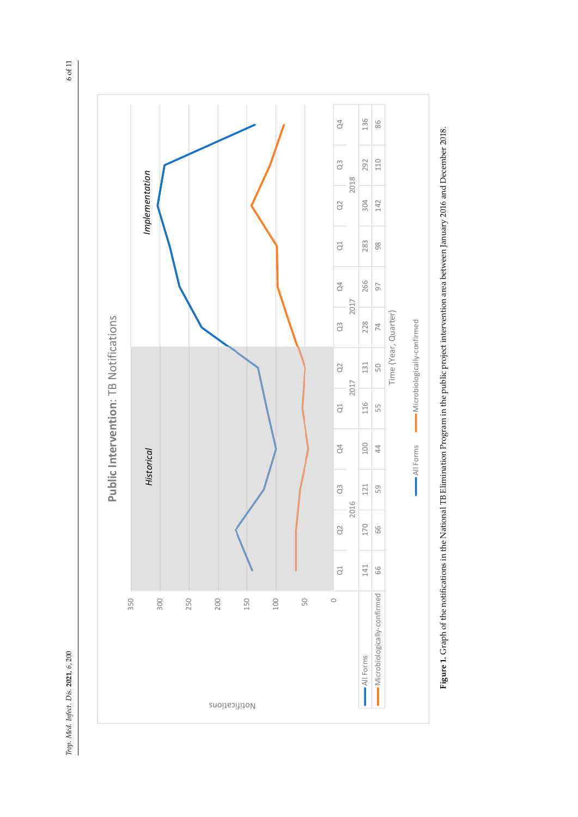



**Figure 1.** Graph of the notifications in the National TB Elimination Program in the public project intervention area between January 2016 and December 2018. Figure 1. Graph of the notifications in the National TB Elimination Program in the public project intervention area between January 2016 and December 2018. **Figure 1.** Graph of the notifications in the National TB Elimination Program in the public project intervention area between January 2016 and December 2018.

 $6$  of  $11$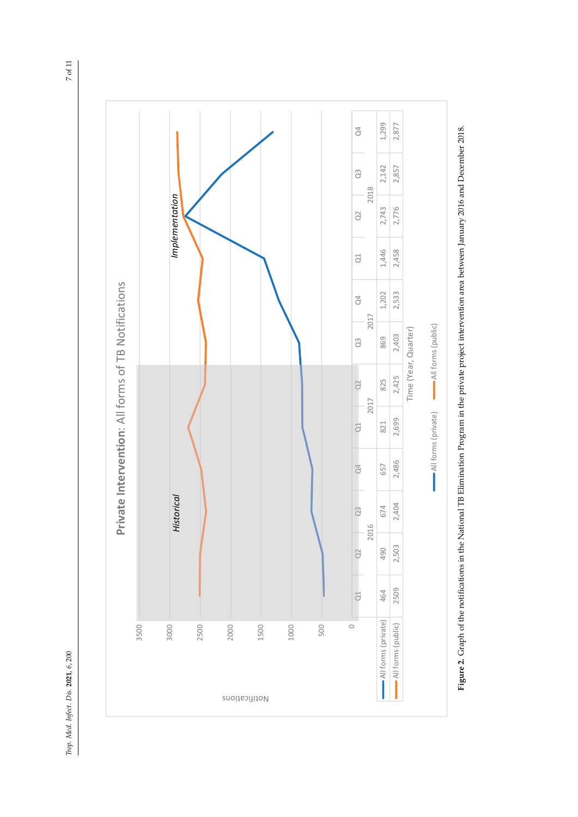



**Figure 2.** Graph of the notifications in the National TB Elimination Program in the private project intervention area between January 2016 and December 2018. Figure 2. Graph of the notifications in the National TB Elimination Program in the private project intervention area between January 2016 and December 2018. **Figure 2.** Graph of the notifications in the National TB Elimination Program in the private project intervention area between January 2016 and December 2018.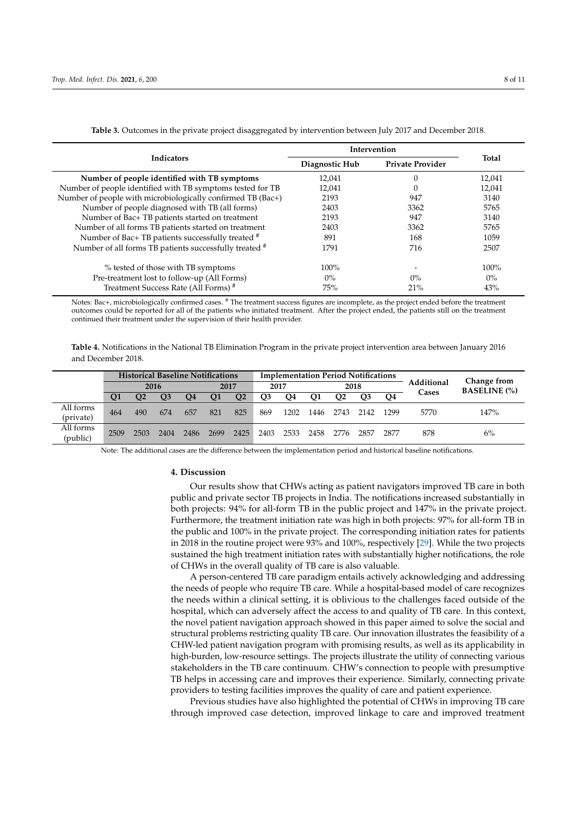|                                                             | Intervention   |                         |              |  |
|-------------------------------------------------------------|----------------|-------------------------|--------------|--|
| <b>Indicators</b>                                           | Diagnostic Hub | <b>Private Provider</b> | <b>Total</b> |  |
| Number of people identified with TB symptoms                | 12,041         |                         | 12,041       |  |
| Number of people identified with TB symptoms tested for TB  | 12,041         |                         | 12,041       |  |
| Number of people with microbiologically confirmed TB (Bac+) | 2193           | 947                     | 3140         |  |
| Number of people diagnosed with TB (all forms)              | 2403           | 3362                    | 5765         |  |
| Number of Bac+ TB patients started on treatment             | 2193           | 947                     | 3140         |  |
| Number of all forms TB patients started on treatment        | 2403           | 3362                    | 5765         |  |
| Number of Bac+ TB patients successfully treated #           | 891            | 168                     | 1059         |  |
| Number of all forms TB patients successfully treated #      | 1791           | 716                     | 2507         |  |
| % tested of those with TB symptoms                          | $100\%$        |                         | 100%         |  |
| Pre-treatment lost to follow-up (All Forms)                 | $0\%$          | $0\%$                   | $0\%$        |  |
| Treatment Success Rate (All Forms) <sup>#</sup>             | 75%            | 21%                     | 43%          |  |

**Table 3.** Outcomes in the private project disaggregated by intervention between July 2017 and December 2018.

Notes: Bac+, microbiologically confirmed cases. # The treatment success figures are incomplete, as the project ended before the treatment outcomes could be reported for all of the patients who initiated treatment. After the project ended, the patients still on the treatment continued their treatment under the supervision of their health provider.

**Table 4.** Notifications in the National TB Elimination Program in the private project intervention area between January 2016 and December 2018.

|                        | <b>Historical Baseline Notifications</b> |                |      |      |                |                |      |      |      | <b>Implementation Period Notifications</b> |                |      |            |                                    |
|------------------------|------------------------------------------|----------------|------|------|----------------|----------------|------|------|------|--------------------------------------------|----------------|------|------------|------------------------------------|
|                        | 2016                                     |                |      |      | 2017           |                | 2017 |      | 2018 |                                            |                |      | Additional | Change from<br><b>BASELINE</b> (%) |
|                        | Ο1                                       | O <sub>2</sub> | O3   | Q4   | Q <sub>1</sub> | Q <sub>2</sub> | Q3   | Q4   | Q1   | O <sub>2</sub>                             | O <sub>3</sub> | O4   | Cases      |                                    |
| All forms<br>(private) | 464                                      | 490            | 674  | 657  | 821            | 825            | 869  | 1202 | 1446 | 2743                                       | 2142           | 1299 | 5770       | 147%                               |
|                        |                                          |                |      |      |                |                |      |      |      |                                            |                |      |            |                                    |
| All forms<br>(public)  | 2509                                     | 2503           | 2404 | 2486 | 2699           | 2425           | 2403 | 2533 | 2458 | 2776                                       | 2857           | 2877 | 878        | 6%                                 |

Note: The additional cases are the difference between the implementation period and historical baseline notifications.

#### **4. Discussion**

Our results show that CHWs acting as patient navigators improved TB care in both public and private sector TB projects in India. The notifications increased substantially in both projects: 94% for all-form TB in the public project and 147% in the private project. Furthermore, the treatment initiation rate was high in both projects: 97% for all-form TB in the public and 100% in the private project. The corresponding initiation rates for patients in 2018 in the routine project were 93% and 100%, respectively [29]. While the two projects sustained the high treatment initiation rates with substantially higher notifications, the role of CHWs in the overall quality of TB care is also valuable.

A person-centered TB care paradigm entails actively acknowledging and addressing the needs of people who require TB care. While a hospital-based model of care recognizes the needs within a clinical setting, it is oblivious to the challenges faced outside of the hospital, which can adversely affect the access to and quality of TB care. In this context, the novel patient navigation approach showed in this paper aimed to solve the social and structural problems restricting quality TB care. Our innovation illustrates the feasibility of a CHW-led patient navigation program with promising results, as well as its applicability in high-burden, low-resource settings. The projects illustrate the utility of connecting various stakeholders in the TB care continuum. CHW's connection to people with presumptive TB helps in accessing care and improves their experience. Similarly, connecting private providers to testing facilities improves the quality of care and patient experience.

Previous studies have also highlighted the potential of CHWs in improving TB care through improved case detection, improved linkage to care and improved treatment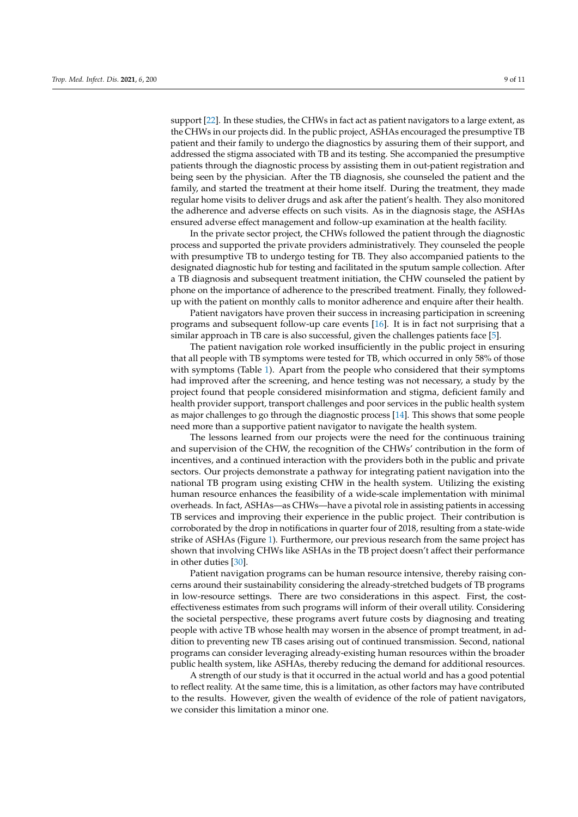support [22]. In these studies, the CHWs in fact act as patient navigators to a large extent, as the CHWs in our projects did. In the public project, ASHAs encouraged the presumptive TB patient and their family to undergo the diagnostics by assuring them of their support, and addressed the stigma associated with TB and its testing. She accompanied the presumptive patients through the diagnostic process by assisting them in out-patient registration and being seen by the physician. After the TB diagnosis, she counseled the patient and the family, and started the treatment at their home itself. During the treatment, they made regular home visits to deliver drugs and ask after the patient's health. They also monitored the adherence and adverse effects on such visits. As in the diagnosis stage, the ASHAs ensured adverse effect management and follow-up examination at the health facility.

In the private sector project, the CHWs followed the patient through the diagnostic process and supported the private providers administratively. They counseled the people with presumptive TB to undergo testing for TB. They also accompanied patients to the designated diagnostic hub for testing and facilitated in the sputum sample collection. After a TB diagnosis and subsequent treatment initiation, the CHW counseled the patient by phone on the importance of adherence to the prescribed treatment. Finally, they followedup with the patient on monthly calls to monitor adherence and enquire after their health.

Patient navigators have proven their success in increasing participation in screening programs and subsequent follow-up care events [16]. It is in fact not surprising that a similar approach in TB care is also successful, given the challenges patients face [5].

The patient navigation role worked insufficiently in the public project in ensuring that all people with TB symptoms were tested for TB, which occurred in only 58% of those with symptoms (Table 1). Apart from the people who considered that their symptoms had improved after the screening, and hence testing was not necessary, a study by the project found that people considered misinformation and stigma, deficient family and health provider support, transport challenges and poor services in the public health system as major challenges to go through the diagnostic process [14]. This shows that some people need more than a supportive patient navigator to navigate the health system.

The lessons learned from our projects were the need for the continuous training and supervision of the CHW, the recognition of the CHWs' contribution in the form of incentives, and a continued interaction with the providers both in the public and private sectors. Our projects demonstrate a pathway for integrating patient navigation into the national TB program using existing CHW in the health system. Utilizing the existing human resource enhances the feasibility of a wide-scale implementation with minimal overheads. In fact, ASHAs—as CHWs—have a pivotal role in assisting patients in accessing TB services and improving their experience in the public project. Their contribution is corroborated by the drop in notifications in quarter four of 2018, resulting from a state-wide strike of ASHAs (Figure 1). Furthermore, our previous research from the same project has shown that involving CHWs like ASHAs in the TB project doesn't affect their performance in other duties [30].

Patient navigation programs can be human resource intensive, thereby raising concerns around their sustainability considering the already-stretched budgets of TB programs in low-resource settings. There are two considerations in this aspect. First, the costeffectiveness estimates from such programs will inform of their overall utility. Considering the societal perspective, these programs avert future costs by diagnosing and treating people with active TB whose health may worsen in the absence of prompt treatment, in addition to preventing new TB cases arising out of continued transmission. Second, national programs can consider leveraging already-existing human resources within the broader public health system, like ASHAs, thereby reducing the demand for additional resources.

A strength of our study is that it occurred in the actual world and has a good potential to reflect reality. At the same time, this is a limitation, as other factors may have contributed to the results. However, given the wealth of evidence of the role of patient navigators, we consider this limitation a minor one.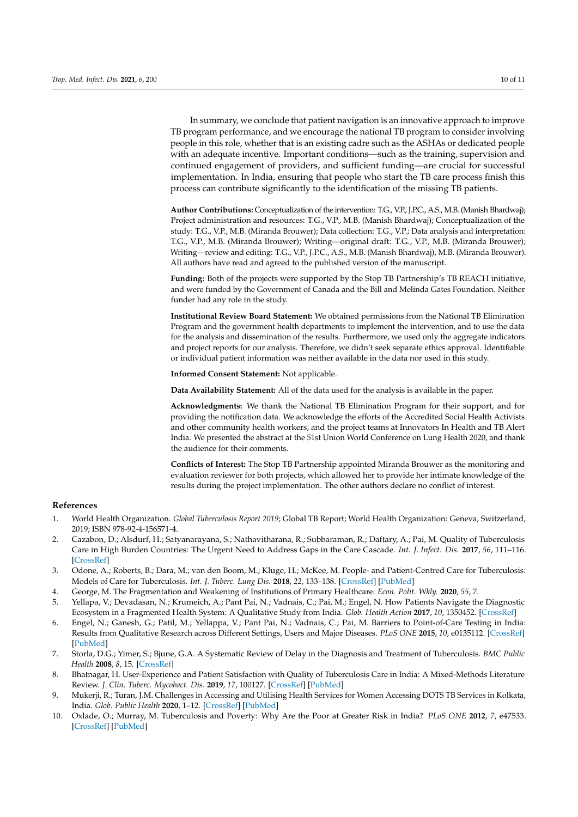In summary, we conclude that patient navigation is an innovative approach to improve TB program performance, and we encourage the national TB program to consider involving people in this role, whether that is an existing cadre such as the ASHAs or dedicated people with an adequate incentive. Important conditions—such as the training, supervision and continued engagement of providers, and sufficient funding—are crucial for successful implementation. In India, ensuring that people who start the TB care process finish this process can contribute significantly to the identification of the missing TB patients.

**Author Contributions:** Conceptualization of the intervention: T.G., V.P., J.P.C., A.S., M.B. (Manish Bhardwaj); Project administration and resources: T.G., V.P., M.B. (Manish Bhardwaj); Conceptualization of the study: T.G., V.P., M.B. (Miranda Brouwer); Data collection: T.G., V.P.; Data analysis and interpretation: T.G., V.P., M.B. (Miranda Brouwer); Writing—original draft: T.G., V.P., M.B. (Miranda Brouwer); Writing—review and editing: T.G., V.P., J.P.C., A.S., M.B. (Manish Bhardwaj), M.B. (Miranda Brouwer). All authors have read and agreed to the published version of the manuscript.

**Funding:** Both of the projects were supported by the Stop TB Partnership's TB REACH initiative, and were funded by the Government of Canada and the Bill and Melinda Gates Foundation. Neither funder had any role in the study.

**Institutional Review Board Statement:** We obtained permissions from the National TB Elimination Program and the government health departments to implement the intervention, and to use the data for the analysis and dissemination of the results. Furthermore, we used only the aggregate indicators and project reports for our analysis. Therefore, we didn't seek separate ethics approval. Identifiable or individual patient information was neither available in the data nor used in this study.

**Informed Consent Statement:** Not applicable.

**Data Availability Statement:** All of the data used for the analysis is available in the paper.

**Acknowledgments:** We thank the National TB Elimination Program for their support, and for providing the notification data. We acknowledge the efforts of the Accredited Social Health Activists and other community health workers, and the project teams at Innovators In Health and TB Alert India. We presented the abstract at the 51st Union World Conference on Lung Health 2020, and thank the audience for their comments.

**Conflicts of Interest:** The Stop TB Partnership appointed Miranda Brouwer as the monitoring and evaluation reviewer for both projects, which allowed her to provide her intimate knowledge of the results during the project implementation. The other authors declare no conflict of interest.

### **References**

- 1. World Health Organization. *Global Tuberculosis Report 2019*; Global TB Report; World Health Organization: Geneva, Switzerland, 2019; ISBN 978-92-4-156571-4.
- 2. Cazabon, D.; Alsdurf, H.; Satyanarayana, S.; Nathavitharana, R.; Subbaraman, R.; Daftary, A.; Pai, M. Quality of Tuberculosis Care in High Burden Countries: The Urgent Need to Address Gaps in the Care Cascade. *Int. J. Infect. Dis.* **2017**, *56*, 111–116. [\[CrossRef\]](http://doi.org/10.1016/j.ijid.2016.10.016)
- 3. Odone, A.; Roberts, B.; Dara, M.; van den Boom, M.; Kluge, H.; McKee, M. People- and Patient-Centred Care for Tuberculosis: Models of Care for Tuberculosis. *Int. J. Tuberc. Lung Dis.* **2018**, *22*, 133–138. [\[CrossRef\]](http://doi.org/10.5588/ijtld.17.0608) [\[PubMed\]](http://www.ncbi.nlm.nih.gov/pubmed/29506609)
- 4. George, M. The Fragmentation and Weakening of Institutions of Primary Healthcare. *Econ. Polit. Wkly.* **2020**, *55*, 7.
- 5. Yellapa, V.; Devadasan, N.; Krumeich, A.; Pant Pai, N.; Vadnais, C.; Pai, M.; Engel, N. How Patients Navigate the Diagnostic Ecosystem in a Fragmented Health System: A Qualitative Study from India. *Glob. Health Action* **2017**, *10*, 1350452. [\[CrossRef\]](http://doi.org/10.1080/16549716.2017.1350452)
- 6. Engel, N.; Ganesh, G.; Patil, M.; Yellappa, V.; Pant Pai, N.; Vadnais, C.; Pai, M. Barriers to Point-of-Care Testing in India: Results from Qualitative Research across Different Settings, Users and Major Diseases. *PLoS ONE* **2015**, *10*, e0135112. [\[CrossRef\]](http://doi.org/10.1371/journal.pone.0135112) [\[PubMed\]](http://www.ncbi.nlm.nih.gov/pubmed/26275231)
- 7. Storla, D.G.; Yimer, S.; Bjune, G.A. A Systematic Review of Delay in the Diagnosis and Treatment of Tuberculosis. *BMC Public Health* **2008**, *8*, 15. [\[CrossRef\]](http://doi.org/10.1186/1471-2458-8-15)
- 8. Bhatnagar, H. User-Experience and Patient Satisfaction with Quality of Tuberculosis Care in India: A Mixed-Methods Literature Review. *J. Clin. Tuberc. Mycobact. Dis.* **2019**, *17*, 100127. [\[CrossRef\]](http://doi.org/10.1016/j.jctube.2019.100127) [\[PubMed\]](http://www.ncbi.nlm.nih.gov/pubmed/31788569)
- 9. Mukerji, R.; Turan, J.M. Challenges in Accessing and Utilising Health Services for Women Accessing DOTS TB Services in Kolkata, India. *Glob. Public Health* **2020**, 1–12. [\[CrossRef\]](http://doi.org/10.1080/17441692.2020.1751235) [\[PubMed\]](http://www.ncbi.nlm.nih.gov/pubmed/32290773)
- 10. Oxlade, O.; Murray, M. Tuberculosis and Poverty: Why Are the Poor at Greater Risk in India? *PLoS ONE* **2012**, *7*, e47533. [\[CrossRef\]](http://doi.org/10.1371/journal.pone.0047533) [\[PubMed\]](http://www.ncbi.nlm.nih.gov/pubmed/23185241)